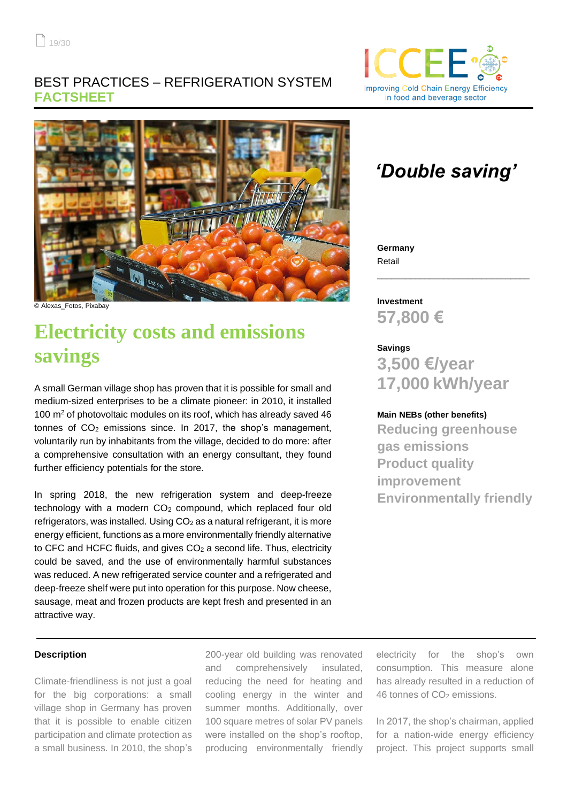## BEST PRACTICES – REFRIGERATION SYSTEM **FACTSHEET**





© Alexas\_Fotos, Pixabay

# **Electricity costs and emissions savings**

A small German village shop has proven that it is possible for small and medium-sized enterprises to be a climate pioneer: in 2010, it installed 100  $\mathrm{m}^2$  of photovoltaic modules on its roof, which has already saved 46 tonnes of  $CO<sub>2</sub>$  emissions since. In 2017, the shop's management, voluntarily run by inhabitants from the village, decided to do more: after a comprehensive consultation with an energy consultant, they found further efficiency potentials for the store.

In spring 2018, the new refrigeration system and deep-freeze technology with a modern  $CO<sub>2</sub>$  compound, which replaced four old refrigerators, was installed. Using CO<sub>2</sub> as a natural refrigerant, it is more energy efficient, functions as a more environmentally friendly alternative to CFC and HCFC fluids, and gives  $CO<sub>2</sub>$  a second life. Thus, electricity could be saved, and the use of environmentally harmful substances was reduced. A new refrigerated service counter and a refrigerated and deep-freeze shelf were put into operation for this purpose. Now cheese, sausage, meat and frozen products are kept fresh and presented in an attractive way.

### **Description**

Climate-friendliness is not just a goal for the big corporations: a small village shop in Germany has proven that it is possible to enable citizen participation and climate protection as a small business. In 2010, the shop's

200-year old building was renovated and comprehensively insulated, reducing the need for heating and cooling energy in the winter and summer months. Additionally, over 100 square metres of solar PV panels were installed on the shop's rooftop, producing environmentally friendly

## *'Double saving'*

\_\_\_\_\_\_\_\_\_\_\_\_\_\_\_\_\_\_\_\_\_\_\_\_\_\_\_\_\_\_\_\_

**Germany** Retail

**Investment 57,800 €**

## **Savings 3,500 €/year**

# **17,000 kWh/year**

## **Main NEBs (other benefits)**

**Reducing greenhouse gas emissions Product quality improvement Environmentally friendly**

electricity for the shop's own consumption. This measure alone has already resulted in a reduction of 46 tonnes of CO<sub>2</sub> emissions.

In 2017, the shop's chairman, applied for a nation-wide energy efficiency project. This project supports small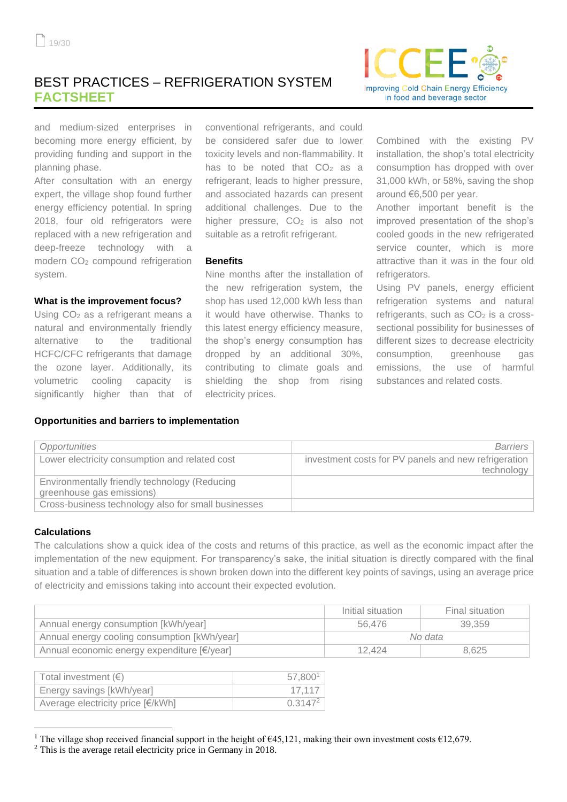## BEST PRACTICES – REFRIGERATION SYSTEM **FACTSHEET**



and medium-sized enterprises in becoming more energy efficient, by providing funding and support in the planning phase.

After consultation with an energy expert, the village shop found further energy efficiency potential. In spring 2018, four old refrigerators were replaced with a new refrigeration and deep-freeze technology with a modern CO<sup>2</sup> compound refrigeration system.

#### **What is the improvement focus?**

Using CO<sub>2</sub> as a refrigerant means a natural and environmentally friendly alternative to the traditional HCFC/CFC refrigerants that damage the ozone layer. Additionally, its volumetric cooling capacity is significantly higher than that of

**Opportunities and barriers to implementation**

conventional refrigerants, and could be considered safer due to lower toxicity levels and non-flammability. It has to be noted that  $CO<sub>2</sub>$  as a refrigerant, leads to higher pressure, and associated hazards can present additional challenges. Due to the higher pressure, CO<sub>2</sub> is also not suitable as a retrofit refrigerant.

#### **Benefits**

Nine months after the installation of the new refrigeration system, the shop has used 12,000 kWh less than it would have otherwise. Thanks to this latest energy efficiency measure, the shop's energy consumption has dropped by an additional 30%, contributing to climate goals and shielding the shop from rising electricity prices.

Combined with the existing PV installation, the shop's total electricity consumption has dropped with over 31,000 kWh, or 58%, saving the shop around €6,500 per year.

Another important benefit is the improved presentation of the shop's cooled goods in the new refrigerated service counter, which is more attractive than it was in the four old refrigerators.

Using PV panels, energy efficient refrigeration systems and natural refrigerants, such as CO<sub>2</sub> is a crosssectional possibility for businesses of different sizes to decrease electricity consumption, greenhouse gas emissions, the use of harmful substances and related costs.

| Opportunities                                                              | <b>Barriers</b>                                                    |
|----------------------------------------------------------------------------|--------------------------------------------------------------------|
| Lower electricity consumption and related cost                             | investment costs for PV panels and new refrigeration<br>technology |
| Environmentally friendly technology (Reducing<br>greenhouse gas emissions) |                                                                    |
| Cross-business technology also for small businesses                        |                                                                    |

#### **Calculations**

The calculations show a quick idea of the costs and returns of this practice, as well as the economic impact after the implementation of the new equipment. For transparency's sake, the initial situation is directly compared with the final situation and a table of differences is shown broken down into the different key points of savings, using an average price of electricity and emissions taking into account their expected evolution.

|                                              | Initial situation | Final situation |
|----------------------------------------------|-------------------|-----------------|
| Annual energy consumption [kWh/year]         | 56.476            | 39.359          |
| Annual energy cooling consumption [kWh/year] | No data           |                 |
| Annual economic energy expenditure [€/year]  | 12.424            | 8.625           |

| Total investment $(\epsilon)$     | 57.800       |
|-----------------------------------|--------------|
| Energy savings [kWh/year]         | 17.117       |
| Average electricity price [€/kWh] | $0.3147^{2}$ |

<sup>&</sup>lt;sup>1</sup> The village shop received financial support in the height of  $\epsilon$ 45,121, making their own investment costs  $\epsilon$ 12,679.

<sup>2</sup> This is the average retail electricity price in Germany in 2018.